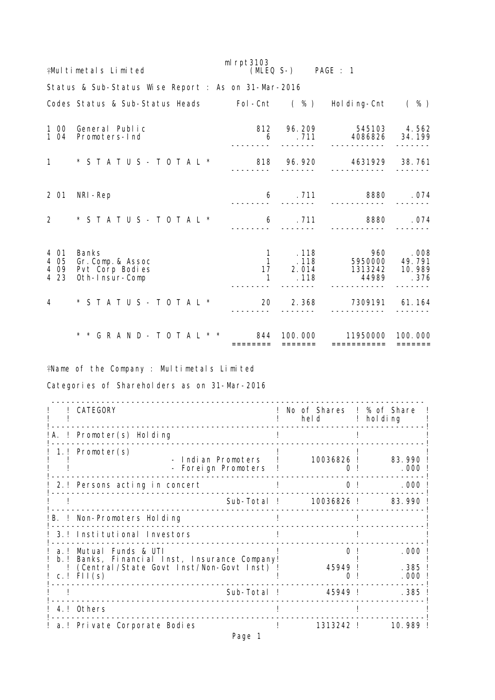|                                 | <b>¥Mul timetals Limited</b>                                           | m $l$ rpt $3103$ | (MLEQ S-) PAGE : 1 |                                                                                     |                 |  |  |  |  |  |  |  |
|---------------------------------|------------------------------------------------------------------------|------------------|--------------------|-------------------------------------------------------------------------------------|-----------------|--|--|--|--|--|--|--|
|                                 | Status & Sub-Status Wise Report : As on 31-Mar-2016                    |                  |                    |                                                                                     |                 |  |  |  |  |  |  |  |
|                                 | Codes Status & Sub-Status Heads Fol-Cnt (%) Holding-Cnt (%)            |                  |                    |                                                                                     |                 |  |  |  |  |  |  |  |
| 1 04                            | 1 00 General Public<br>Promoters-Ind                                   | 6                |                    | 812  96.209  545103  4.562<br>. 711 4086826 34.199                                  |                 |  |  |  |  |  |  |  |
|                                 |                                                                        |                  |                    |                                                                                     |                 |  |  |  |  |  |  |  |
| 2 01                            | NRI-Rep                                                                | 6                |                    | 711 8880 .074                                                                       |                 |  |  |  |  |  |  |  |
|                                 | $2 * STATUS - TOTAL * 6$                                               |                  |                    | . 711 8880                                                                          | . 074           |  |  |  |  |  |  |  |
| 4 01<br>4 0 5<br>4 0 9<br>4 2 3 | <b>Banks</b><br>Gr. Comp. & Assoc<br>Pvt Corp Bodies<br>Oth-Insur-Comp |                  |                    | 1 .118 960 .008<br>1 .118 5950000 49.791<br>17 2.014 1313242 10.989<br>$.118$ 44989 | .376            |  |  |  |  |  |  |  |
| $\overline{4}$                  | $*$ STATUS - TOTAL $*$                                                 | 20               |                    | 2.368 7309191 61.164                                                                |                 |  |  |  |  |  |  |  |
|                                 | * * G R A N D - T O T A L * * 844 100.000                              | ========         | $=$ = = = = = =    | 11950000 100.000<br>===========                                                     | $=$ = = = = = = |  |  |  |  |  |  |  |

Name of the Company : Multimetals Limited

Categories of Shareholders as on 31-Mar-2016

|               | CATEGORY                                                                                                                   | No of Shares ! % of Share<br>held and the set of the set of the set of the set of the set of the set of the set of the set of the set of th | $!$ holding            |
|---------------|----------------------------------------------------------------------------------------------------------------------------|---------------------------------------------------------------------------------------------------------------------------------------------|------------------------|
|               | !A. ! Promoter(s) Holding                                                                                                  |                                                                                                                                             |                        |
|               | 1.! Promoter(s)<br>- Indian Promoters<br>- Foreign Promoters                                                               | 10036826 !                                                                                                                                  | 83.990<br>. 000        |
|               | 2.! Persons acting in concert                                                                                              | 0 <sup>1</sup>                                                                                                                              | . 000                  |
|               | Sub-Total !                                                                                                                | 10036826 !                                                                                                                                  | 83.990                 |
|               | !B. ! Non-Promoters Holding                                                                                                |                                                                                                                                             |                        |
|               | 3.! Institutional Investors                                                                                                |                                                                                                                                             |                        |
| a I<br>$b.$ ! | Mutual Funds & UTI<br>Banks, Financial Inst, Insurance Company!<br>(Central/State Govt Inst/Non-Govt Inst)<br>c.! $F11(s)$ | 45949 !                                                                                                                                     | . 000<br>. 385<br>.000 |
|               | Sub-Total !                                                                                                                | 45949 !                                                                                                                                     | . 385                  |
|               | 4.! Others                                                                                                                 |                                                                                                                                             |                        |
|               | a.! Private Corporate Bodies                                                                                               | 1313242 !                                                                                                                                   | 10.989                 |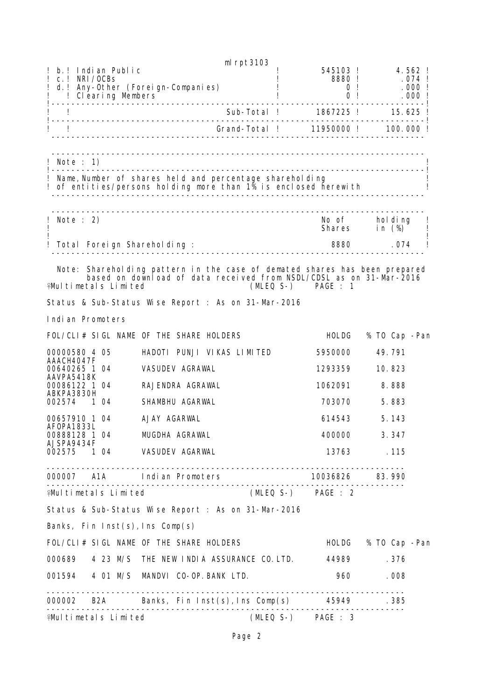|                                                    |                                                                            | ml rpt3103                    |                      |                     |                   |
|----------------------------------------------------|----------------------------------------------------------------------------|-------------------------------|----------------------|---------------------|-------------------|
| Indian Public<br>b <sub>1</sub><br>$c.$ ! NRI/OCBs |                                                                            |                               | 545103 !<br>8880!    |                     | 4.562 !<br>.074 ! |
|                                                    | d. ! Any-Other (Foreign-Companies)<br>! Clearing Members                   |                               | 0 <sub>1</sub>       | 0 <sub>1</sub>      | .000!<br>.000!    |
|                                                    |                                                                            |                               |                      |                     |                   |
|                                                    |                                                                            |                               |                      |                     |                   |
| L                                                  |                                                                            |                               |                      |                     |                   |
|                                                    |                                                                            |                               |                      |                     |                   |
| Note : 1)<br>Ţ                                     |                                                                            |                               |                      |                     |                   |
|                                                    | Name, Number of shares held and percentage shareholding                    |                               |                      |                     |                   |
|                                                    | ! of entities/persons holding more than 1% is enclosed herewith            |                               |                      |                     |                   |
|                                                    |                                                                            |                               |                      |                     |                   |
| Note $: 2)$                                        |                                                                            |                               | No of                | hol di ng           |                   |
|                                                    |                                                                            |                               | Shares               | in $(\%)$           |                   |
|                                                    | Total Foreign Shareholding:                                                |                               |                      | 8880 .074           |                   |
|                                                    | Note: Shareholding pattern in the case of demated shares has been prepared |                               |                      |                     |                   |
|                                                    | based on download of data received from NSDL/CDSL as on 31-Mar-2016        |                               |                      |                     |                   |
| <b>¥Mul timetals Limited</b>                       |                                                                            |                               | $(MLEQ S-)$ PAGE : 1 |                     |                   |
|                                                    | Status & Sub-Status Wise Report : As on 31-Mar-2016                        |                               |                      |                     |                   |
| Indian Promoters                                   |                                                                            |                               |                      |                     |                   |
|                                                    | FOL/CLI# SIGL NAME OF THE SHARE HOLDERS                                    |                               | <b>HOLDG</b>         | % TO Cap -Pan       |                   |
| 00000580 4 05                                      | HADOTI PUNJI VIKAS LIMITED                                                 |                               | 5950000              | 49.791              |                   |
| AAACH4047F<br>00640265 1 04                        | VASUDEV AGRAWAL                                                            |                               | 1293359              | 10.823              |                   |
| AAVPA5418K<br>00086122 1 04                        | RAJENDRA AGRAWAL                                                           |                               | 1062091              | 8.888               |                   |
| ABKPA3830H<br>002574<br>1 04                       | SHAMBHU AGARWAL                                                            |                               | 703070               | 5.883               |                   |
|                                                    |                                                                            |                               |                      |                     |                   |
| 00657910 1 04<br>AF0PA1833L                        | AJAY AGARWAI                                                               |                               | 614543               | 5.143               |                   |
| AJSPA9434F                                         | 00888128 1 04 MUGDHA AGRAWAL                                               |                               | 400000               | 3.347               |                   |
|                                                    | 002575 1 04 VASUDEV AGARWAL                                                |                               |                      | 13763 .115          |                   |
|                                                    |                                                                            | ----------------------------- |                      |                     |                   |
|                                                    | 000007 A1A Indian Promoters 10036826 83.990                                |                               |                      |                     |                   |
| ♀Multimetals Limited                               |                                                                            |                               | (MLEQ S-) PAGE : 2   |                     |                   |
|                                                    | Status & Sub-Status Wise Report : As on 31-Mar-2016                        |                               |                      |                     |                   |
|                                                    | Banks, Fin Inst(s), Ins Comp(s)                                            |                               |                      |                     |                   |
|                                                    | FOL/CLI# SIGL NAME OF THE SHARE HOLDERS                                    |                               |                      | HOLDG % TO Cap -Pan |                   |
|                                                    | 000689 4 23 M/S THE NEW INDIA ASSURANCE CO. LTD.                           |                               | 44989                | .376                |                   |
|                                                    | 001594 4 01 M/S MANDVI CO-OP. BANK LTD.                                    |                               |                      | 960 — 100<br>.008   |                   |
|                                                    |                                                                            |                               |                      |                     |                   |
|                                                    | 000002 B2A Banks, Fin Inst(s), Ins Comp(s) 45949 .385                      |                               |                      |                     |                   |
| <b>¥Multimetals Limited</b>                        |                                                                            |                               | (MLEQ S-) PAGE : 3   |                     |                   |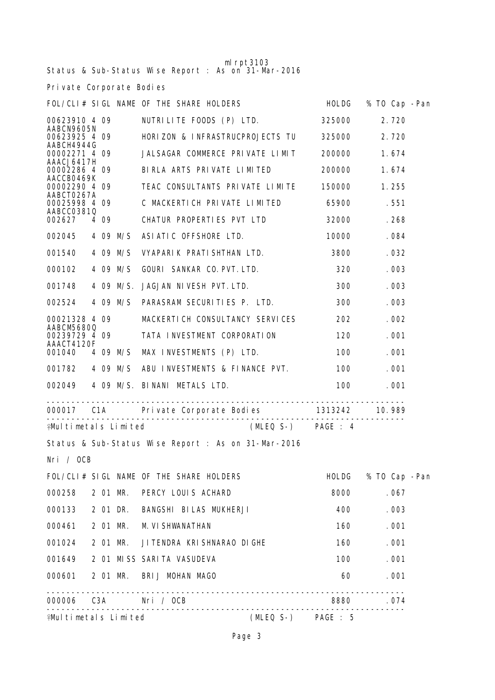| $ml$ rpt $3103$<br>Status & Sub-Status Wise Report : As on 31-Mar-2016 |  |       |          |                                                                                                                                                                                                                                      |  |                                                                                                                                                                                                                                 |               |  |  |  |  |
|------------------------------------------------------------------------|--|-------|----------|--------------------------------------------------------------------------------------------------------------------------------------------------------------------------------------------------------------------------------------|--|---------------------------------------------------------------------------------------------------------------------------------------------------------------------------------------------------------------------------------|---------------|--|--|--|--|
| Private Corporate Bodies                                               |  |       |          |                                                                                                                                                                                                                                      |  |                                                                                                                                                                                                                                 |               |  |  |  |  |
| FOL/CLI# SIGL NAME OF THE SHARE HOLDERS<br>% TO Cap -Pan<br>HOLDG      |  |       |          |                                                                                                                                                                                                                                      |  |                                                                                                                                                                                                                                 |               |  |  |  |  |
| 00623910 4 09                                                          |  |       |          | NUTRILITE FOODS (P) LTD.                                                                                                                                                                                                             |  | 325000                                                                                                                                                                                                                          | 2.720         |  |  |  |  |
| AABCN9605N<br>00623925 4 09                                            |  |       |          | HORIZON & INFRASTRUCPROJECTS TU                                                                                                                                                                                                      |  | 325000                                                                                                                                                                                                                          | 2.720         |  |  |  |  |
| AABCH4944G<br>00002271 4 09                                            |  |       |          | JALSAGAR COMMERCE PRIVATE LIMIT                                                                                                                                                                                                      |  | 200000                                                                                                                                                                                                                          | 1.674         |  |  |  |  |
| AAACJ6417H<br>00002286 4 09                                            |  |       |          | BIRLA ARTS PRIVATE LIMITED                                                                                                                                                                                                           |  | 200000                                                                                                                                                                                                                          | 1.674         |  |  |  |  |
| AACCB0469K<br>00002290 4 09                                            |  |       |          | TEAC CONSULTANTS PRIVATE LIMITE                                                                                                                                                                                                      |  | 150000                                                                                                                                                                                                                          | 1.255         |  |  |  |  |
| AABCT0267A<br>00025998 4 09                                            |  |       |          | C MACKERTICH PRIVATE LIMITED                                                                                                                                                                                                         |  | 65900                                                                                                                                                                                                                           | .551          |  |  |  |  |
| AABCC03810<br>002627                                                   |  | 4 0 9 |          | CHATUR PROPERTIES PVT LTD                                                                                                                                                                                                            |  | 32000                                                                                                                                                                                                                           | .268          |  |  |  |  |
| 002045                                                                 |  |       | 4 09 M/S | ASIATIC OFFSHORE LTD.                                                                                                                                                                                                                |  | 10000                                                                                                                                                                                                                           | .084          |  |  |  |  |
| 001540                                                                 |  |       | 4 09 M/S | VYAPARIK PRATISHTHAN LTD.                                                                                                                                                                                                            |  | 3800                                                                                                                                                                                                                            | .032          |  |  |  |  |
| 000102                                                                 |  |       | 4 09 M/S | GOURI SANKAR CO. PVT. LTD.                                                                                                                                                                                                           |  | 320                                                                                                                                                                                                                             | .003          |  |  |  |  |
| 001748                                                                 |  |       |          | 4 09 M/S. JAGJAN NIVESH PVT. LTD.                                                                                                                                                                                                    |  | 300                                                                                                                                                                                                                             | .003          |  |  |  |  |
| 002524                                                                 |  |       | 4 09 M/S | PARASRAM SECURITIES P. LTD.                                                                                                                                                                                                          |  | 300                                                                                                                                                                                                                             | .003          |  |  |  |  |
| 00021328 4 09                                                          |  |       |          | MACKERTICH CONSULTANCY SERVICES                                                                                                                                                                                                      |  | 202                                                                                                                                                                                                                             | .002          |  |  |  |  |
| AABCM56800<br>00239729 4 09                                            |  |       |          | TATA INVESTMENT CORPORATION                                                                                                                                                                                                          |  | 120                                                                                                                                                                                                                             | .001          |  |  |  |  |
| AAACT4120F<br>001040                                                   |  |       | 4 09 M/S | MAX INVESTMENTS (P) LTD.                                                                                                                                                                                                             |  | 100                                                                                                                                                                                                                             | .001          |  |  |  |  |
| 001782                                                                 |  |       | 4 09 M/S | ABU INVESTMENTS & FINANCE PVT.                                                                                                                                                                                                       |  | 100                                                                                                                                                                                                                             | .001          |  |  |  |  |
| 002049                                                                 |  |       |          | 4 09 M/S. BINANI METALS LTD.                                                                                                                                                                                                         |  | 100                                                                                                                                                                                                                             | .001          |  |  |  |  |
| 000017                                                                 |  |       |          |                                                                                                                                                                                                                                      |  |                                                                                                                                                                                                                                 | 10.989        |  |  |  |  |
|                                                                        |  |       |          | <b>Example 1 Final Example 2 Final Example 2 Final Example 2 Final Example 2 Final Example 2 Final Example 2 Final Example 2 Final Example 2 Final Example 2 Final Example 2 Final Example 2 Final Example 2 Final Example 2 Fin</b> |  |                                                                                                                                                                                                                                 |               |  |  |  |  |
|                                                                        |  |       |          | Status & Sub-Status Wise Report : As on 31-Mar-2016                                                                                                                                                                                  |  |                                                                                                                                                                                                                                 |               |  |  |  |  |
| Nri / OCB                                                              |  |       |          |                                                                                                                                                                                                                                      |  |                                                                                                                                                                                                                                 |               |  |  |  |  |
|                                                                        |  |       |          | FOL/CLI# SIGL NAME OF THE SHARE HOLDERS                                                                                                                                                                                              |  | HOLDG                                                                                                                                                                                                                           | % TO Cap -Pan |  |  |  |  |
|                                                                        |  |       |          | 000258 2 01 MR. PERCY LOUIS ACHARD                                                                                                                                                                                                   |  | 8000                                                                                                                                                                                                                            | .067          |  |  |  |  |
|                                                                        |  |       |          | 000133 2 01 DR. BANGSHI BILAS MUKHERJI                                                                                                                                                                                               |  | 400                                                                                                                                                                                                                             | .003          |  |  |  |  |
|                                                                        |  |       |          | 000461 2 01 MR. M. VI SHWANATHAN                                                                                                                                                                                                     |  | 160                                                                                                                                                                                                                             | .001          |  |  |  |  |
|                                                                        |  |       |          | 001024 2 01 MR. JI TENDRA KRISHNARAO DI GHE                                                                                                                                                                                          |  | 160 — 160 — 160 — 160 — 160 — 160 — 160 — 160 — 160 — 160 — 161 — 162 — 162 — 162 — 162 — 162 — 162 — 162 — 162 — 162 — 162 — 162 — 162 — 162 — 162 — 162 — 162 — 162 — 162 — 162 — 162 — 162 — 162 — 162 — 162 — 162 — 162 — 1 | .001          |  |  |  |  |
|                                                                        |  |       |          | 001649 2 01 MISS SARITA VASUDEVA                                                                                                                                                                                                     |  | 100 000                                                                                                                                                                                                                         | .001          |  |  |  |  |
|                                                                        |  |       |          | 000601 2 01 MR. BRIJ MOHAN MAGO                                                                                                                                                                                                      |  | 60                                                                                                                                                                                                                              | .001          |  |  |  |  |
|                                                                        |  |       |          | 000006  C3A   Nri / OCB                                                                                                                                                                                                              |  | 8880 .074                                                                                                                                                                                                                       |               |  |  |  |  |
| <b>¥Multimetals Limited</b><br>(MLEQ S-) PAGE : 5                      |  |       |          |                                                                                                                                                                                                                                      |  |                                                                                                                                                                                                                                 |               |  |  |  |  |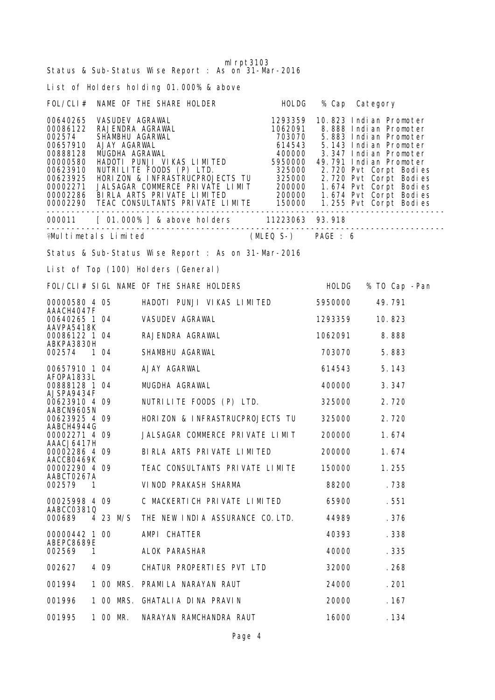| ml $rpt3103$<br>Status & Sub-Status Wise Report : As on 31-Mar-2016 |                                                                                                                                                                                                                                                |                    |                |                     |  |  |  |  |  |  |
|---------------------------------------------------------------------|------------------------------------------------------------------------------------------------------------------------------------------------------------------------------------------------------------------------------------------------|--------------------|----------------|---------------------|--|--|--|--|--|--|
| List of Holders holding 01.000% & above                             |                                                                                                                                                                                                                                                |                    |                |                     |  |  |  |  |  |  |
|                                                                     | FOL/CLI# NAME OF THE SHARE HOLDER HOLDG                                                                                                                                                                                                        |                    | % Cap Category |                     |  |  |  |  |  |  |
|                                                                     | 00640265 VASUDEV AGRAWAL<br>00086122 RAJENDRA AGRAWAL<br>00086122 RAJENDRA AGRAWAL<br>002574 SHAMBHU AGARWAL<br>002574 SHAMBHU AGARWAL<br>00657910 AJAY AGARWAL<br>00657910 AJAY AGARWAL<br>0000588128 MUGDHA AGRAWAL<br>00000580 HADOTI PUNJI |                    |                |                     |  |  |  |  |  |  |
|                                                                     | 000011 [ 01.000% ] & above holders 11223063 93.918                                                                                                                                                                                             |                    |                |                     |  |  |  |  |  |  |
|                                                                     | <b>\Multimetals Limited</b>                                                                                                                                                                                                                    | (MLEQ S-) PAGE : 6 |                |                     |  |  |  |  |  |  |
|                                                                     | Status & Sub-Status Wise Report : As on 31-Mar-2016                                                                                                                                                                                            |                    |                |                     |  |  |  |  |  |  |
|                                                                     | List of Top (100) Holders (General)                                                                                                                                                                                                            |                    |                |                     |  |  |  |  |  |  |
|                                                                     | FOL/CLI# SIGL NAME OF THE SHARE HOLDERS                                                                                                                                                                                                        |                    |                | HOLDG % TO Cap -Pan |  |  |  |  |  |  |
| 00000580 4 05                                                       | HADOTI PUNJI VIKAS LIMITED                                                                                                                                                                                                                     |                    | 5950000        | 49.791              |  |  |  |  |  |  |
| AAACH4047F<br>00640265 1 04                                         | VASUDEV AGRAWAL                                                                                                                                                                                                                                |                    | 1293359        | 10.823              |  |  |  |  |  |  |
| AAVPA5418K<br>00086122 1 04                                         | RAJENDRA AGRAWAL                                                                                                                                                                                                                               |                    | 1062091        | 8.888               |  |  |  |  |  |  |
| ABKPA3830H<br>002574 1 04                                           | SHAMBHU AGARWAL                                                                                                                                                                                                                                |                    | 703070         | 5.883               |  |  |  |  |  |  |
| 00657910 1 04                                                       | AJAY AGARWAL                                                                                                                                                                                                                                   |                    | 614543         | 5.143               |  |  |  |  |  |  |
| AF0PA1833L<br>00888128 1 04                                         | MUGDHA AGRAWAL                                                                                                                                                                                                                                 |                    | 400000         | 3.347               |  |  |  |  |  |  |
| AJSPA9434F<br>00623910 4 09                                         | NUTRILITE FOODS (P) LTD. 325000                                                                                                                                                                                                                |                    |                | 2.720               |  |  |  |  |  |  |
| AABCN9605N<br>00623925 4 09                                         | HORIZON & INFRASTRUCPROJECTS TU                                                                                                                                                                                                                |                    | 325000         | 2.720               |  |  |  |  |  |  |
| AABCH4944G<br>00002271 4 09                                         | JALSAGAR COMMERCE PRIVATE LIMIT                                                                                                                                                                                                                |                    | 200000         | 1.674               |  |  |  |  |  |  |
| AAACJ6417H<br>00002286 4 09                                         | BIRLA ARTS PRIVATE LIMITED                                                                                                                                                                                                                     |                    | 200000         | 1.674               |  |  |  |  |  |  |
| AACCB0469K<br>00002290 4 09                                         | TEAC CONSULTANTS PRIVATE LIMITE                                                                                                                                                                                                                |                    | 150000         | 1.255               |  |  |  |  |  |  |
| AABCT0267A<br>002579<br>- 1                                         | VINOD PRAKASH SHARMA                                                                                                                                                                                                                           |                    | 88200          | . 738               |  |  |  |  |  |  |
| 00025998 4 09                                                       | C MACKERTICH PRIVATE LIMITED                                                                                                                                                                                                                   |                    | 65900          | . 551               |  |  |  |  |  |  |
| AABCC03810<br>000689<br>4 23 M/S                                    | THE NEW INDIA ASSURANCE CO. LTD.                                                                                                                                                                                                               |                    | 44989          | . 376               |  |  |  |  |  |  |
| 00000442 1 00                                                       | AMPI CHATTER                                                                                                                                                                                                                                   |                    | 40393          | . 338               |  |  |  |  |  |  |
| ABEPC8689E<br>002569<br>1                                           | ALOK PARASHAR                                                                                                                                                                                                                                  |                    | 40000          | . 335               |  |  |  |  |  |  |
| 002627<br>4 0 9                                                     | CHATUR PROPERTIES PVT LTD                                                                                                                                                                                                                      |                    | 32000          | . 268               |  |  |  |  |  |  |
| 001994<br>1 00 MRS.                                                 | PRAMI LA NARAYAN RAUT                                                                                                                                                                                                                          |                    | 24000          | .201                |  |  |  |  |  |  |
| 1 00 MRS.<br>001996                                                 | GHATALIA DINA PRAVIN                                                                                                                                                                                                                           |                    | 20000          | . 167               |  |  |  |  |  |  |
| 001995<br>1 00 MR.                                                  | NARAYAN RAMCHANDRA RAUT                                                                                                                                                                                                                        |                    | 16000          | . 134               |  |  |  |  |  |  |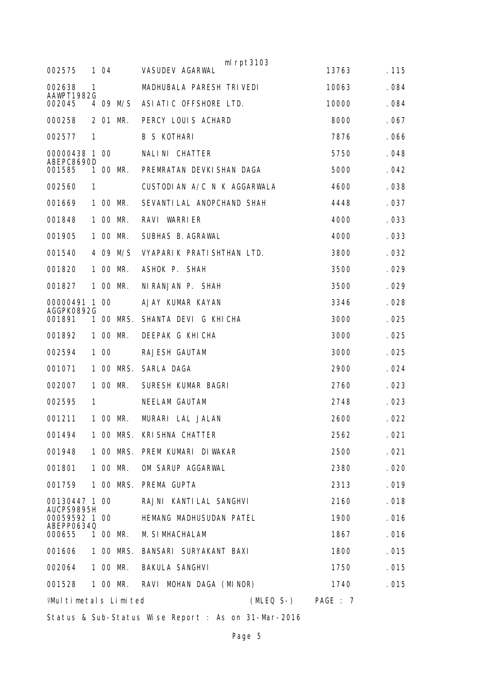|                              |    |      |           | $ml$ rpt $3103$             |          |       |
|------------------------------|----|------|-----------|-----------------------------|----------|-------|
| 002575                       |    | 104  |           | <b>VASUDEV AGARWAL</b>      | 13763    | .115  |
| 002638<br>AAWPT1982G         | 1  |      |           | MADHUBALA PARESH TRIVEDI    | 10063    | .084  |
| 002045                       |    |      | 4 09 M/S  | ASIATIC OFFSHORE LTD.       | 10000    | . 084 |
| 000258                       |    |      | 2 01 MR.  | PERCY LOUIS ACHARD          | 8000     | .067  |
| 002577                       | 1  |      |           | <b>B S KOTHARI</b>          | 7876     | .066  |
| 00000438 1 00<br>ABEPC8690D  |    |      |           | NALINI CHATTER              | 5750     | . 048 |
| 001585                       | 1. |      | 00 MR.    | PREMRATAN DEVKISHAN DAGA    | 5000     | .042  |
| 002560                       | 1  |      |           | CUSTODIAN A/C N K AGGARWALA | 4600     | . 038 |
| 001669                       |    |      | 1 00 MR.  | SEVANTI LAL ANOPCHAND SHAH  | 4448     | .037  |
| 001848                       |    |      | 1 00 MR.  | RAVI WARRIER                | 4000     | . 033 |
| 001905                       |    |      | 1 00 MR.  | SUBHAS B. AGRAWAL           | 4000     | .033  |
| 001540                       |    |      | 4 09 M/S  | VYAPARIK PRATISHTHAN LTD.   | 3800     | .032  |
| 001820                       |    |      | 1 00 MR.  | ASHOK P. SHAH               | 3500     | .029  |
| 001827                       |    |      | 1 00 MR.  | NI RANJAN P. SHAH           | 3500     | .029  |
| 00000491                     |    | 1 00 |           | AJAY KUMAR KAYAN            | 3346     | .028  |
| AGGPK0892G<br>001891         | 1. |      | OO MRS.   | SHANTA DEVI G KHICHA        | 3000     | .025  |
| 001892                       |    |      | 1 00 MR.  | DEEPAK G KHICHA             | 3000     | .025  |
| 002594                       |    | 1 00 |           | RAJESH GAUTAM               | 3000     | .025  |
| 001071                       |    |      | 1 00 MRS. | SARLA DAGA                  | 2900     | .024  |
| 002007                       |    |      | 1 00 MR.  | SURESH KUMAR BAGRI          | 2760     | .023  |
| 002595                       | 1  |      |           | NEELAM GAUTAM               | 2748     | .023  |
| 001211                       |    |      | 1 00 MR.  | MURARI LAL JALAN            | 2600     | .022  |
| 001494                       |    |      |           | 1 OO MRS. KRISHNA CHATTER   | 2562     | . 021 |
| 001948                       |    |      | 1 00 MRS. | PREM KUMARI DIWAKAR         | 2500     | .021  |
| 001801                       |    |      | 1 00 MR.  | OM SARUP AGGARWAL           | 2380     | .020  |
| 001759                       |    |      | 1 00 MRS. | PREMA GUPTA                 | 2313     | .019  |
| 00130447 1 00                |    |      |           | RAJNI KANTILAL SANGHVI      | 2160     | .018  |
| AUCPS9895H<br>00059592 1 00  |    |      |           | HEMANG MADHUSUDAN PATEL     | 1900     | . 016 |
| ABEPP06340<br>000655         |    |      | 1 00 MR.  | <b>M. SI MHACHALAM</b>      | 1867     | . 016 |
| 001606                       |    |      | 1 00 MRS. | BANSARI SURYAKANT BAXI      | 1800     | . 015 |
| 002064                       |    |      | 1 00 MR.  | <b>BAKULA SANGHVI</b>       | 1750     | . 015 |
| 001528                       |    |      | 1 00 MR.  | RAVI MOHAN DAGA (MINOR)     | 1740     | . 015 |
| <b>¥Mul timetals Limited</b> |    |      |           | (MLEQ S-)                   | PAGE : 7 |       |

Status & Sub-Status Wise Report : As on 31-Mar-2016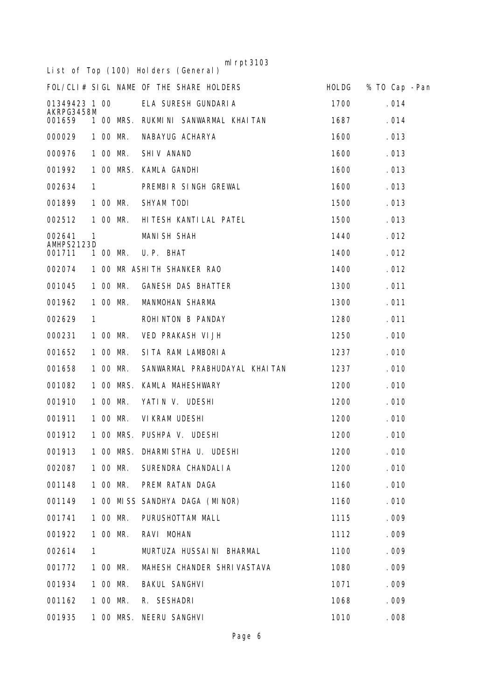|                      |    |           | ml $rpt3103$<br>List of Top (100) Holders (General) |              |               |  |
|----------------------|----|-----------|-----------------------------------------------------|--------------|---------------|--|
|                      |    |           | FOL/CLI# SIGL NAME OF THE SHARE HOLDERS             | <b>HOLDG</b> | % TO Cap -Pan |  |
| 01349423 1 00        |    |           | ELA SURESH GUNDARIA                                 | 1700         | .014          |  |
| AKRPG3458M<br>001659 |    | 1 00 MRS. | RUKMINI SANWARMAL KHAITAN                           | 1687         | .014          |  |
| 000029               |    | 1 00 MR.  | NABAYUG ACHARYA                                     | 1600         | .013          |  |
| 000976               |    | 1 00 MR.  | SHIV ANAND                                          | 1600         | . 013         |  |
| 001992               | 1  | OO MRS.   | KAMLA GANDHI                                        | 1600         | . 013         |  |
| 002634               | 1  |           | PREMBIR SINGH GREWAL                                | 1600         | . 013         |  |
| 001899               |    | 1 00 MR.  | SHYAM TODI                                          | 1500         | . 013         |  |
| 002512               |    | 1 00 MR.  | HI TESH KANTI LAL PATEL                             | 1500         | . 013         |  |
| 002641<br>AMHPS2123D | 1  |           | <b>MANI SH SHAH</b>                                 | 1440         | .012          |  |
| 001711               | 1. | OO MR.    | U.P. BHAT                                           | 1400         | .012          |  |
| 002074               |    |           | 1 00 MR ASHITH SHANKER RAO                          | 1400         | .012          |  |
| 001045               |    | 1 00 MR.  | <b>GANESH DAS BHATTER</b>                           | 1300         | .011          |  |
| 001962               |    | 1 00 MR.  | MANMOHAN SHARMA                                     | 1300         | .011          |  |
| 002629               | 1  |           | ROHINTON B PANDAY                                   | 1280         | . 011         |  |
| 000231               |    | 1 00 MR.  | VED PRAKASH VI JH                                   | 1250         | .010          |  |
| 001652               |    | 1 00 MR.  | SITA RAM LAMBORIA                                   | 1237         | .010          |  |
| 001658               |    | 1 00 MR.  | SANWARMAL PRABHUDAYAL KHAITAN                       | 1237         | . 010         |  |
| 001082               |    | 1 00 MRS. | KAMLA MAHESHWARY                                    | 1200         | .010          |  |
| 001910               |    | 1 00 MR.  | YATIN V. UDESHI                                     | 1200         | .010          |  |
| 001911               |    | 1 00 MR.  | VI KRAM UDESHI                                      | 1200         | . 010         |  |
| 001912               |    |           | 1 00 MRS. PUSHPA V. UDESHI                          | 1200         | .010          |  |
| 001913               |    |           | 1 00 MRS. DHARMISTHA U. UDESHI                      | 1200         | .010          |  |
| 002087               |    | 1 00 MR.  | SURENDRA CHANDALIA                                  | 1200         | .010          |  |
| 001148               |    | 1 00 MR.  | PREM RATAN DAGA                                     | 1160         | .010          |  |
| 001149               |    |           | 1 00 MISS SANDHYA DAGA (MINOR)                      | 1160         | .010          |  |
| 001741               |    | 1 00 MR.  | PURUSHOTTAM MALL                                    | 1115         | .009          |  |
| 001922               |    | 1 00 MR.  | RAVI MOHAN                                          | 1112         | .009          |  |
| 002614               | 1  |           | MURTUZA HUSSAI NI BHARMAL                           | 1100         | .009          |  |
| 001772               |    | 1 00 MR.  | MAHESH CHANDER SHRIVASTAVA                          | 1080         | .009          |  |
| 001934               |    | 1 00 MR.  | <b>BAKUL SANGHVI</b>                                | 1071         | .009          |  |
| 001162               |    | 1 00 MR.  | R. SESHADRI                                         | 1068         | .009          |  |
| 001935               |    |           | 1 00 MRS. NEERU SANGHVI                             | 1010         | .008          |  |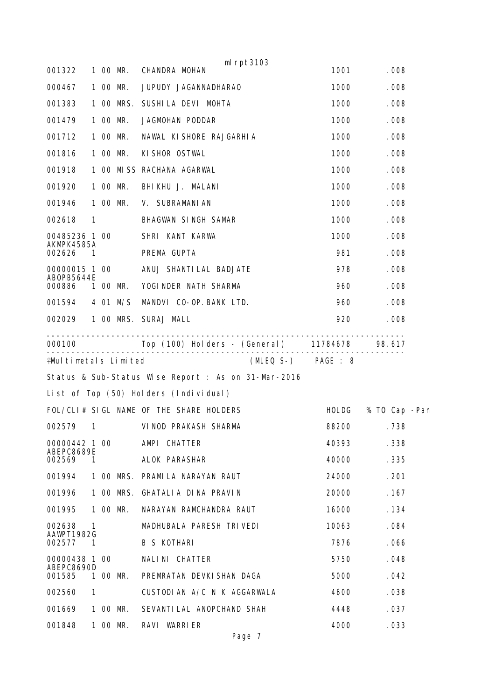|              |                                                                                                                                                        | CHANDRA MOHAN                                                                                                                                                                | 1001                                                                                                                                                                                                                                                                                                                                                                                                                                                | .008               |                                                                |  |  |  |
|--------------|--------------------------------------------------------------------------------------------------------------------------------------------------------|------------------------------------------------------------------------------------------------------------------------------------------------------------------------------|-----------------------------------------------------------------------------------------------------------------------------------------------------------------------------------------------------------------------------------------------------------------------------------------------------------------------------------------------------------------------------------------------------------------------------------------------------|--------------------|----------------------------------------------------------------|--|--|--|
|              |                                                                                                                                                        | 1000                                                                                                                                                                         |                                                                                                                                                                                                                                                                                                                                                                                                                                                     |                    |                                                                |  |  |  |
|              |                                                                                                                                                        |                                                                                                                                                                              | 1000                                                                                                                                                                                                                                                                                                                                                                                                                                                | .008               |                                                                |  |  |  |
|              |                                                                                                                                                        | JAGMOHAN PODDAR                                                                                                                                                              | 1000                                                                                                                                                                                                                                                                                                                                                                                                                                                | .008               |                                                                |  |  |  |
|              |                                                                                                                                                        | NAWAL KI SHORE RAJGARHI A                                                                                                                                                    | 1000                                                                                                                                                                                                                                                                                                                                                                                                                                                | .008               |                                                                |  |  |  |
|              |                                                                                                                                                        | KI SHOR OSTWAL                                                                                                                                                               | 1000                                                                                                                                                                                                                                                                                                                                                                                                                                                | .008               |                                                                |  |  |  |
|              |                                                                                                                                                        |                                                                                                                                                                              | 1000                                                                                                                                                                                                                                                                                                                                                                                                                                                | .008               |                                                                |  |  |  |
|              |                                                                                                                                                        | BHIKHU J. MALANI                                                                                                                                                             | 1000                                                                                                                                                                                                                                                                                                                                                                                                                                                | .008               |                                                                |  |  |  |
|              |                                                                                                                                                        |                                                                                                                                                                              | 1000                                                                                                                                                                                                                                                                                                                                                                                                                                                | .008               |                                                                |  |  |  |
|              |                                                                                                                                                        | BHAGWAN SINGH SAMAR                                                                                                                                                          | 1000                                                                                                                                                                                                                                                                                                                                                                                                                                                | .008               |                                                                |  |  |  |
|              |                                                                                                                                                        | SHRI KANT KARWA                                                                                                                                                              | 1000                                                                                                                                                                                                                                                                                                                                                                                                                                                | .008               |                                                                |  |  |  |
|              |                                                                                                                                                        | PREMA GUPTA                                                                                                                                                                  | 981                                                                                                                                                                                                                                                                                                                                                                                                                                                 | .008               |                                                                |  |  |  |
|              |                                                                                                                                                        |                                                                                                                                                                              | 978                                                                                                                                                                                                                                                                                                                                                                                                                                                 | .008               |                                                                |  |  |  |
|              |                                                                                                                                                        |                                                                                                                                                                              | 960                                                                                                                                                                                                                                                                                                                                                                                                                                                 | . 008              |                                                                |  |  |  |
|              |                                                                                                                                                        |                                                                                                                                                                              | 960                                                                                                                                                                                                                                                                                                                                                                                                                                                 | .008               |                                                                |  |  |  |
|              |                                                                                                                                                        |                                                                                                                                                                              | 920                                                                                                                                                                                                                                                                                                                                                                                                                                                 | .008               |                                                                |  |  |  |
|              |                                                                                                                                                        |                                                                                                                                                                              |                                                                                                                                                                                                                                                                                                                                                                                                                                                     |                    |                                                                |  |  |  |
|              |                                                                                                                                                        |                                                                                                                                                                              |                                                                                                                                                                                                                                                                                                                                                                                                                                                     |                    |                                                                |  |  |  |
|              |                                                                                                                                                        |                                                                                                                                                                              |                                                                                                                                                                                                                                                                                                                                                                                                                                                     |                    |                                                                |  |  |  |
|              |                                                                                                                                                        |                                                                                                                                                                              |                                                                                                                                                                                                                                                                                                                                                                                                                                                     |                    |                                                                |  |  |  |
|              |                                                                                                                                                        |                                                                                                                                                                              | HOLDG                                                                                                                                                                                                                                                                                                                                                                                                                                               | % TO Cap -Pan      |                                                                |  |  |  |
|              |                                                                                                                                                        |                                                                                                                                                                              |                                                                                                                                                                                                                                                                                                                                                                                                                                                     | .738               |                                                                |  |  |  |
|              |                                                                                                                                                        | AMPI CHATTER                                                                                                                                                                 | 40393                                                                                                                                                                                                                                                                                                                                                                                                                                               | . 338              |                                                                |  |  |  |
|              |                                                                                                                                                        | ALOK PARASHAR                                                                                                                                                                | 40000                                                                                                                                                                                                                                                                                                                                                                                                                                               | .335               |                                                                |  |  |  |
|              |                                                                                                                                                        | PRAMI LA NARAYAN RAUT                                                                                                                                                        | 24000                                                                                                                                                                                                                                                                                                                                                                                                                                               | .201               |                                                                |  |  |  |
|              |                                                                                                                                                        | GHATALIA DINA PRAVIN                                                                                                                                                         | 20000                                                                                                                                                                                                                                                                                                                                                                                                                                               | . 167              |                                                                |  |  |  |
|              |                                                                                                                                                        | NARAYAN RAMCHANDRA RAUT                                                                                                                                                      | 16000                                                                                                                                                                                                                                                                                                                                                                                                                                               | . 134              |                                                                |  |  |  |
|              |                                                                                                                                                        | MADHUBALA PARESH TRIVEDI                                                                                                                                                     | 10063                                                                                                                                                                                                                                                                                                                                                                                                                                               | .084               |                                                                |  |  |  |
|              |                                                                                                                                                        | <b>B S KOTHARI</b>                                                                                                                                                           | 7876                                                                                                                                                                                                                                                                                                                                                                                                                                                | . 066              |                                                                |  |  |  |
|              |                                                                                                                                                        | NALINI CHATTER                                                                                                                                                               | 5750                                                                                                                                                                                                                                                                                                                                                                                                                                                | . 048              |                                                                |  |  |  |
|              |                                                                                                                                                        | PREMRATAN DEVKI SHAN DAGA                                                                                                                                                    | 5000                                                                                                                                                                                                                                                                                                                                                                                                                                                | . 042              |                                                                |  |  |  |
|              |                                                                                                                                                        | CUSTODIAN A/C N K AGGARWALA                                                                                                                                                  | 4600                                                                                                                                                                                                                                                                                                                                                                                                                                                | . 038              |                                                                |  |  |  |
|              |                                                                                                                                                        | SEVANTI LAL ANOPCHAND SHAH                                                                                                                                                   | 4448                                                                                                                                                                                                                                                                                                                                                                                                                                                | . 037              |                                                                |  |  |  |
|              |                                                                                                                                                        | RAVI WARRIER                                                                                                                                                                 | 4000                                                                                                                                                                                                                                                                                                                                                                                                                                                | .033               |                                                                |  |  |  |
| $\mathbf{1}$ | $\mathbf{1}$<br>00485236 1 00<br>AKMPK4585A<br>00000015 1 00<br>ABOPB5644E<br>00000442 1 00<br>ABEPC8689E<br>AAWPT1982G<br>00000438 1 00<br>ABEPC8690D | 1 00 MR.<br>1 00 MR.<br>1 00 MR.<br>1 00 MR.<br>1 00 MR.<br>1 00 MR.<br>1 00 MR.<br>1 00 MR.<br>001594 4 01 M/S<br>1 00 MRS.<br>1 00 MR.<br>1 00 MR.<br>1 00 MR.<br>1 00 MR. | ml $rpt3103$<br>JUPUDY JAGANNADHARAO<br>1 00 MRS. SUSHILA DEVI MOHTA<br>1 00 MISS RACHANA AGARWAL<br>V. SUBRAMANI AN<br>ANUJ SHANTI LAL BADJATE<br>YOGI NDER NATH SHARMA<br>MANDVI CO-OP. BANK LTD.<br>002029 1 00 MRS. SURAJ MALL<br>♀Multimetals Limited<br>Status & Sub-Status Wise Report : As on 31-Mar-2016<br>List of Top (50) Holders (Individual)<br>FOL/CLI# SIGL NAME OF THE SHARE HOLDERS<br>002579 1 VINOD PRAKASH SHARMA<br>1 00 MRS. | (MLEQ S-) PAGE : 8 | .008<br>Top (100) Holders - (General) 11784678 98.617<br>88200 |  |  |  |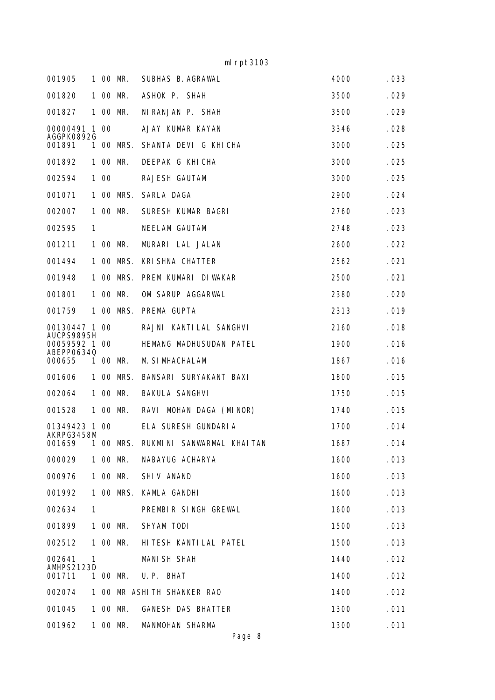mlrpt3103

| 001905                      |              |      | 1 00 MR.  | SUBHAS B. AGRAWAL           | 4000 | . 033 |
|-----------------------------|--------------|------|-----------|-----------------------------|------|-------|
| 001820                      |              |      | 1 00 MR.  | ASHOK P. SHAH               | 3500 | .029  |
| 001827                      |              |      | 1 00 MR.  | NI RANJAN P. SHAH           | 3500 | .029  |
| 00000491 1 00<br>AGGPK0892G |              |      |           | AJAY KUMAR KAYAN            | 3346 | . 028 |
| 001891                      |              |      | 1 00 MRS. | SHANTA DEVI G KHICHA        | 3000 | .025  |
| 001892                      |              |      | 1 00 MR.  | DEEPAK G KHICHA             | 3000 | .025  |
| 002594                      |              | 1 00 |           | RAJESH GAUTAM               | 3000 | .025  |
| 001071                      |              |      | 1 00 MRS. | SARLA DAGA                  | 2900 | .024  |
| 002007                      |              |      | 1 00 MR.  | SURESH KUMAR BAGRI          | 2760 | .023  |
| 002595                      | $\mathbf{1}$ |      |           | NEELAM GAUTAM               | 2748 | .023  |
| 001211                      |              |      | 1 00 MR.  | MURARI LAL JALAN            | 2600 | .022  |
| 001494                      |              |      | 1 00 MRS. | <b>KRI SHNA CHATTER</b>     | 2562 | .021  |
| 001948                      |              |      | 1 00 MRS. | PREM KUMARI DIWAKAR         | 2500 | .021  |
| 001801                      |              |      | 1 00 MR.  | OM SARUP AGGARWAL           | 2380 | .020  |
| 001759                      |              |      | 1 00 MRS. | PREMA GUPTA                 | 2313 | .019  |
| 00130447 1 00<br>AUCPS9895H |              |      |           | RAJNI KANTILAL SANGHVI      | 2160 | . 018 |
| 00059592 1 00<br>ABEPP06340 |              |      |           | HEMANG MADHUSUDAN PATEL     | 1900 | . 016 |
| 000655                      |              |      | 1 00 MR.  | M. SIMHACHALAM              | 1867 | . 016 |
| 001606                      |              |      | 1 00 MRS. | BANSARI SURYAKANT BAXI      | 1800 | .015  |
| 002064                      |              |      | 1 00 MR.  | <b>BAKULA SANGHVI</b>       | 1750 | .015  |
| 001528                      |              |      | 1 00 MR.  | RAVI MOHAN DAGA (MINOR)     | 1740 | .015  |
| 01349423 1 00<br>AKRPG3458M |              |      |           | ELA SURESH GUNDARIA         | 1700 | .014  |
| 001659                      |              |      | 1 00 MRS. | RUKMINI SANWARMAL KHAITAN   | 1687 | .014  |
| 000029                      |              |      | 1 00 MR.  | NABAYUG ACHARYA             | 1600 | . 013 |
| 000976                      |              |      | 1 00 MR.  | SHIV ANAND                  | 1600 | . 013 |
| 001992                      |              |      | 1 00 MRS. | KAMLA GANDHI                | 1600 | . 013 |
| 002634                      | 1            |      |           | PREMBIR SINGH GREWAL        | 1600 | . 013 |
| 001899                      |              |      | 1 00 MR.  | SHYAM TODI                  | 1500 | . 013 |
| 002512                      |              |      | 1 00 MR.  | HI TESH KANTI LAL PATEL     | 1500 | . 013 |
| 002641<br>AMHPS2123D        | 1            |      |           | <b>MANI SH SHAH</b>         | 1440 | .012  |
| 001711                      |              |      | 1 00 MR.  | U.P. BHAT                   | 1400 | . 012 |
| 002074                      |              |      |           | 1 00 MR ASHI TH SHANKER RAO | 1400 | . 012 |
| 001045                      |              |      | 1 00 MR.  | <b>GANESH DAS BHATTER</b>   | 1300 | .011  |
| 001962                      |              |      | 1 00 MR.  | MANMOHAN SHARMA             | 1300 | .011  |

Page 8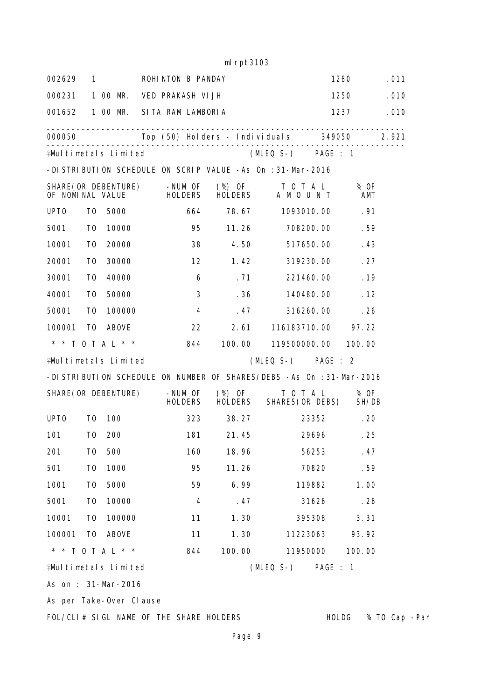## mlrpt3103

| 002629 1         |                |                             | ROHINTON B PANDAY                                              |                           |                   |                                                                         | 1280        | . 011         |
|------------------|----------------|-----------------------------|----------------------------------------------------------------|---------------------------|-------------------|-------------------------------------------------------------------------|-------------|---------------|
| 000231           |                | 1 00 MR.                    | VED PRAKASH VI JH                                              |                           |                   |                                                                         | 1250        | . 010         |
|                  |                |                             | 001652 1 00 MR. SITA RAM LAMBORIA                              |                           |                   |                                                                         | 1237        | . 010         |
| 000050           |                |                             |                                                                |                           |                   | . <u>_ _ _ _ _ _ _ _ _ _</u> _<br>Top (50) Holders - Individuals 349050 |             | 2.921         |
|                  |                |                             | . <u>_ _ _ _ _ _ _ _ _ _ _ _ _ _</u> _<br>♀Multimetals Limited |                           |                   | (MLEQ S-) PAGE : 1                                                      |             |               |
|                  |                |                             |                                                                |                           |                   | -DISTRIBUTION SCHEDULE ON SCRIP VALUE -As On : 31-Mar-2016              |             |               |
|                  |                |                             | SHARE (OR DEBENTURE) - NUM OF<br>OF NOMINAL VALUE HOLDERS      |                           | $(\%)$ OF         | TOTAL<br>HOLDERS A M O U N T                                            | % OF<br>AMT |               |
| UPT <sub>0</sub> | T0             |                             | 5000 000                                                       | 664                       | 78.67             | 1093010.00                                                              | .91         |               |
| 5001             | T0             | 10000                       |                                                                | 95                        | 11.26             | 708200.00                                                               | .59         |               |
| 10001            | T0             | 20000                       |                                                                | 38                        |                   | 4.50<br>517650.00                                                       | . 43        |               |
| 20001            | T <sub>0</sub> | 30000                       |                                                                | 12                        |                   | 1.42<br>319230.00                                                       | .27         |               |
| 30001            | T0             | 40000                       |                                                                | 6                         | .71               | 221460.00                                                               | .19         |               |
| 40001            | T0             | 50000                       |                                                                | 3                         | .36               | 140480.00                                                               | .12         |               |
| 50001            | T0             | 100000                      | $\overline{4}$                                                 |                           | .47               | 316260.00                                                               | .26         |               |
| 100001           | T0             | ABOVE                       |                                                                | 22                        | 2.61              | 116183710.00                                                            | 97.22       |               |
|                  |                |                             | * * T O T A L * * 844                                          |                           | 100.00            | 119500000.00                                                            | 100.00      |               |
|                  |                | <b>¥Multimetals Limited</b> |                                                                |                           |                   | (MLEQ S-) PAGE : 2                                                      |             |               |
|                  |                |                             |                                                                |                           |                   | -DISTRIBUTION SCHEDULE ON NUMBER OF SHARES/DEBS -As On : 31-Mar-2016    |             |               |
|                  |                | SHARE (OR DEBENTURE)        |                                                                | -NUM OF<br><b>HOLDERS</b> | (%) OF<br>HOLDERS | T 0 T A L<br>SHARES (OR DEBS) SH/DB                                     | % OF        |               |
| UPT <sub>0</sub> | T0             | 100                         |                                                                | 323                       | 38.27             |                                                                         | 23352. 20   |               |
| 101              | T0             | 200                         |                                                                | 181                       |                   | 21.45<br>29696                                                          | .25         |               |
| 201              | T <sub>0</sub> | 500                         |                                                                | 160                       | 18.96             | 56253                                                                   | .47         |               |
| 501              | T <sub>0</sub> | 1000                        |                                                                | 95                        | 11.26             | 70820                                                                   | .59         |               |
| 1001             | T <sub>0</sub> | 5000                        |                                                                | 59                        | 6.99              | 119882                                                                  | 1.00        |               |
| 5001             | T <sub>0</sub> | 10000                       |                                                                | $\overline{4}$            | .47               | 31626                                                                   | .26         |               |
| 10001            | T0             | 100000                      |                                                                | 11                        | 1.30              | 395308                                                                  | 3.31        |               |
| 100001           | T <sub>0</sub> | <b>ABOVE</b>                |                                                                | 11                        | 1.30              | 11223063                                                                | 93.92       |               |
|                  |                | * * TOTAL * *               |                                                                | 844                       | 100.00            | 11950000                                                                | 100.00      |               |
|                  |                | <b>¥Multimetals Limited</b> |                                                                |                           |                   | (MLEQ S-) PAGE : 1                                                      |             |               |
|                  |                | As on : 31-Mar-2016         |                                                                |                           |                   |                                                                         |             |               |
|                  |                | As per Take-Over Clause     |                                                                |                           |                   |                                                                         |             |               |
|                  |                |                             | FOL/CLI# SIGL NAME OF THE SHARE HOLDERS                        |                           |                   |                                                                         | HOLDG       | % TO Cap -Pan |